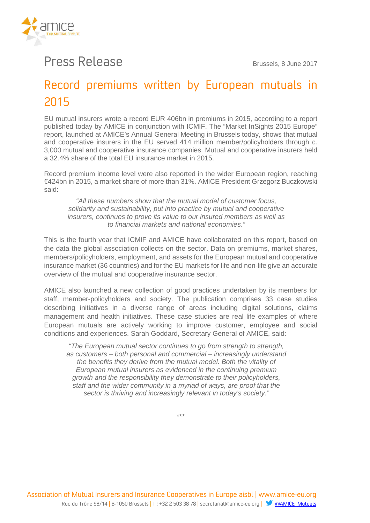

## Press Release Brussels, 8 June 2017

## Record premiums written by European mutuals in 2015

EU mutual insurers wrote a record EUR 406bn in premiums in 2015, according to a report published today by AMICE in conjunction with ICMIF. The "Market InSights 2015 Europe" report, launched at AMICE's Annual General Meeting in Brussels today, shows that mutual and cooperative insurers in the EU served 414 million member/policyholders through c. 3,000 mutual and cooperative insurance companies. Mutual and cooperative insurers held a 32.4% share of the total EU insurance market in 2015.

Record premium income level were also reported in the wider European region, reaching €424bn in 2015, a market share of more than 31%. AMICE President Grzegorz Buczkowski said:

"All these numbers show that the mutual model of customer focus, solidarity and sustainability, put into practice by mutual and cooperative insurers, continues to prove its value to our insured members as well as to financial markets and national economies."

This is the fourth year that ICMIF and AMICE have collaborated on this report, based on the data the global association collects on the sector. Data on premiums, market shares, members/policyholders, employment, and assets for the European mutual and cooperative insurance market (36 countries) and for the EU markets for life and non-life give an accurate overview of the mutual and cooperative insurance sector.

AMICE also launched a new collection of good practices undertaken by its members for staff, member-policyholders and society. The publication comprises 33 case studies describing initiatives in a diverse range of areas including digital solutions, claims management and health initiatives. These case studies are real life examples of where European mutuals are actively working to improve customer, employee and social conditions and experiences. Sarah Goddard, Secretary General of AMICE, said:

"The European mutual sector continues to go from strength to strength, as customers – both personal and commercial – increasingly understand the benefits they derive from the mutual model. Both the vitality of European mutual insurers as evidenced in the continuing premium growth and the responsibility they demonstrate to their policyholders, staff and the wider community in a myriad of ways, are proof that the sector is thriving and increasingly relevant in today's society."

\*\*\*